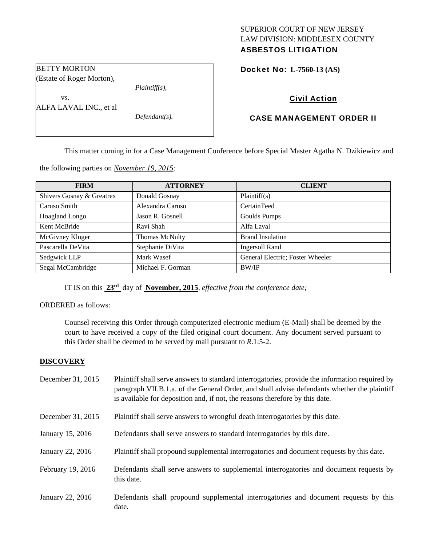# SUPERIOR COURT OF NEW JERSEY LAW DIVISION: MIDDLESEX COUNTY ASBESTOS LITIGATION

Docket No: **L-7560-13 (AS)** 

# Civil Action

# CASE MANAGEMENT ORDER II

This matter coming in for a Case Management Conference before Special Master Agatha N. Dzikiewicz and

the following parties on *November 19, 2015:* 

| <b>FIRM</b>               | <b>ATTORNEY</b>       | <b>CLIENT</b>                    |
|---------------------------|-----------------------|----------------------------------|
| Shivers Gosnay & Greatrex | Donald Gosnay         | Plaintiff(s)                     |
| Caruso Smith              | Alexandra Caruso      | CertainTeed                      |
| Hoagland Longo            | Jason R. Gosnell      | Goulds Pumps                     |
| Kent McBride              | Ravi Shah             | Alfa Laval                       |
| McGivney Kluger           | <b>Thomas McNulty</b> | <b>Brand Insulation</b>          |
| Pascarella DeVita         | Stephanie DiVita      | <b>Ingersoll Rand</b>            |
| Sedgwick LLP              | Mark Wasef            | General Electric; Foster Wheeler |
| Segal McCambridge         | Michael F. Gorman     | <b>BW/IP</b>                     |

IT IS on this **23rd** day of **November, 2015**, *effective from the conference date;*

ORDERED as follows:

Counsel receiving this Order through computerized electronic medium (E-Mail) shall be deemed by the court to have received a copy of the filed original court document. Any document served pursuant to this Order shall be deemed to be served by mail pursuant to *R*.1:5-2.

# **DISCOVERY**

| December 31, 2015 | Plaintiff shall serve answers to standard interrogatories, provide the information required by<br>paragraph VII.B.1.a. of the General Order, and shall advise defendants whether the plaintiff<br>is available for deposition and, if not, the reasons therefore by this date. |
|-------------------|--------------------------------------------------------------------------------------------------------------------------------------------------------------------------------------------------------------------------------------------------------------------------------|
| December 31, 2015 | Plaintiff shall serve answers to wrongful death interrogatories by this date.                                                                                                                                                                                                  |
| January 15, 2016  | Defendants shall serve answers to standard interrogatories by this date.                                                                                                                                                                                                       |
| January 22, 2016  | Plaintiff shall propound supplemental interrogatories and document requests by this date.                                                                                                                                                                                      |
| February 19, 2016 | Defendants shall serve answers to supplemental interrogatories and document requests by<br>this date.                                                                                                                                                                          |
| January 22, 2016  | Defendants shall propound supplemental interrogatories and document requests by this<br>date.                                                                                                                                                                                  |

BETTY MORTON (Estate of Roger Morton),

vs.

*Plaintiff(s),* 

ALFA LAVAL INC., et al

*Defendant(s).*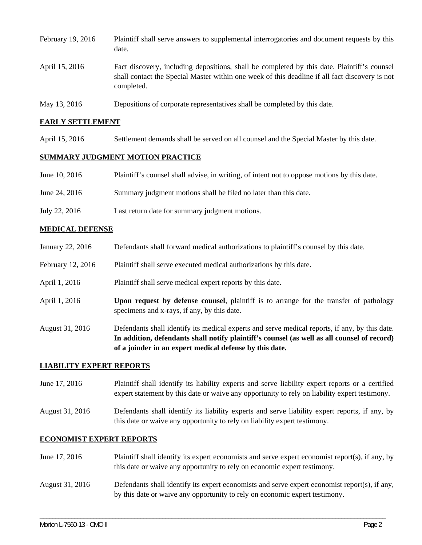| February 19, 2016 | Plaintiff shall serve answers to supplemental interrogatories and document requests by this<br>date.                                                                                                        |
|-------------------|-------------------------------------------------------------------------------------------------------------------------------------------------------------------------------------------------------------|
| April 15, 2016    | Fact discovery, including depositions, shall be completed by this date. Plaintiff's counsel<br>shall contact the Special Master within one week of this deadline if all fact discovery is not<br>completed. |

May 13, 2016 Depositions of corporate representatives shall be completed by this date.

### **EARLY SETTLEMENT**

April 15, 2016 Settlement demands shall be served on all counsel and the Special Master by this date.

### **SUMMARY JUDGMENT MOTION PRACTICE**

| Plaintiff's counsel shall advise, in writing, of intent not to oppose motions by this date.<br>June 10, 2016 |  |
|--------------------------------------------------------------------------------------------------------------|--|
|--------------------------------------------------------------------------------------------------------------|--|

- June 24, 2016 Summary judgment motions shall be filed no later than this date.
- July 22, 2016 Last return date for summary judgment motions.

# **MEDICAL DEFENSE**

- January 22, 2016 Defendants shall forward medical authorizations to plaintiff's counsel by this date.
- February 12, 2016 Plaintiff shall serve executed medical authorizations by this date.
- April 1, 2016 Plaintiff shall serve medical expert reports by this date.
- April 1, 2016 **Upon request by defense counsel**, plaintiff is to arrange for the transfer of pathology specimens and x-rays, if any, by this date.
- August 31, 2016 Defendants shall identify its medical experts and serve medical reports, if any, by this date. **In addition, defendants shall notify plaintiff's counsel (as well as all counsel of record) of a joinder in an expert medical defense by this date.**

#### **LIABILITY EXPERT REPORTS**

- June 17, 2016 Plaintiff shall identify its liability experts and serve liability expert reports or a certified expert statement by this date or waive any opportunity to rely on liability expert testimony.
- August 31, 2016 Defendants shall identify its liability experts and serve liability expert reports, if any, by this date or waive any opportunity to rely on liability expert testimony.

# **ECONOMIST EXPERT REPORTS**

| June 17, 2016   | Plaintiff shall identify its expert economists and serve expert economist report(s), if any, by<br>this date or waive any opportunity to rely on economic expert testimony.      |
|-----------------|----------------------------------------------------------------------------------------------------------------------------------------------------------------------------------|
| August 31, 2016 | Defendants shall identify its expert economists and serve expert economist report $(s)$ , if any,<br>by this date or waive any opportunity to rely on economic expert testimony. |

\_\_\_\_\_\_\_\_\_\_\_\_\_\_\_\_\_\_\_\_\_\_\_\_\_\_\_\_\_\_\_\_\_\_\_\_\_\_\_\_\_\_\_\_\_\_\_\_\_\_\_\_\_\_\_\_\_\_\_\_\_\_\_\_\_\_\_\_\_\_\_\_\_\_\_\_\_\_\_\_\_\_\_\_\_\_\_\_\_\_\_\_\_\_\_\_\_\_\_\_\_\_\_\_\_\_\_\_\_\_